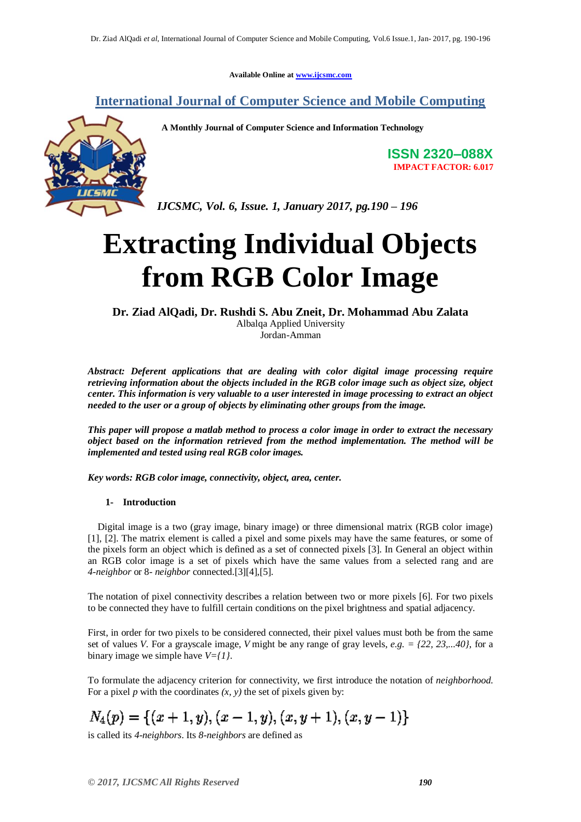**Available Online at [www.ijcsmc.com](http://www.ijcsmc.com/)**

# **International Journal of Computer Science and Mobile Computing**



**A Monthly Journal of Computer Science and Information Technology**

**ISSN 2320–088X IMPACT FACTOR: 6.017**

*IJCSMC, Vol. 6, Issue. 1, January 2017, pg.190 – 196*

# **Extracting Individual Objects from RGB Color Image**

## **Dr. Ziad AlQadi, Dr. Rushdi S. Abu Zneit, Dr. Mohammad Abu Zalata**

Albalqa Applied University Jordan-Amman

*Abstract: Deferent applications that are dealing with color digital image processing require retrieving information about the objects included in the RGB color image such as object size, object center. This information is very valuable to a user interested in image processing to extract an object needed to the user or a group of objects by eliminating other groups from the image.*

*This paper will propose a matlab method to process a color image in order to extract the necessary object based on the information retrieved from the method implementation. The method will be implemented and tested using real RGB color images.*

*Key words: RGB color image, connectivity, object, area, center.*

### **1- Introduction**

 Digital image is a two (gray image, binary image) or three dimensional matrix (RGB color image) [1], [2]. The matrix element is called a pixel and some pixels may have the same features, or some of the pixels form an object which is defined as a set of connected pixels [3]. In General an object within an RGB color image is a set of pixels which have the same values from a selected rang and are *4-neighbor* or 8- *neighbor* connected.[3][4],[5].

The notation of pixel connectivity describes a relation between two or more pixels [6]. For two pixels to be connected they have to fulfill certain conditions on the pixel brightness and spatial adjacency.

First, in order for two pixels to be considered connected, their pixel values must both be from the same set of values *V*. For a grayscale image, *V* might be any range of gray levels, *e.g. = {22, 23,...40}*, for a binary image we simple have *V={1}*.

To formulate the adjacency criterion for connectivity, we first introduce the notation of *neighborhood*. For a pixel  $p$  with the coordinates  $(x, y)$  the set of pixels given by:

 $N_4(p) = \{(x+1, y), (x-1, y), (x, y+1), (x, y-1)\}\$ 

is called its *4-neighbors*. Its *8-neighbors* are defined as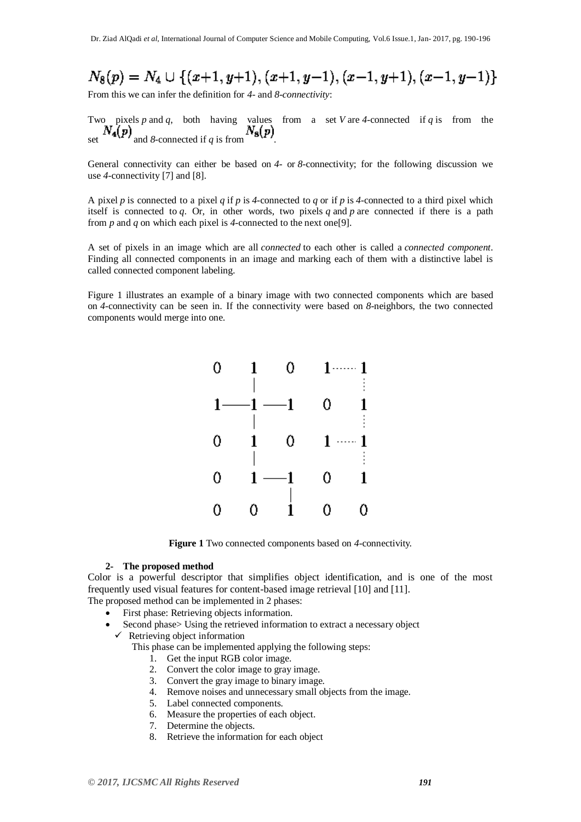$$
N_8(p)=N_4\cup \{(x+1,y+1), (x+1,y-1), (x-1,y+1), (x-1,y-1)\}
$$

From this we can infer the definition for *4-* and *8-connectivity*:

Two pixels *p* and *q*, both having values from a set *V* are *4*-connected if *q* is from the set  $N_4(p)$  and *8*-connected if *q* is from  $N_8(p)$ .

General connectivity can either be based on *4*- or *8*-connectivity; for the following discussion we use *4*-connectivity [7] and [8].

A pixel *p* is connected to a pixel *q* if *p* is *4*-connected to *q* or if *p* is *4*-connected to a third pixel which itself is connected to *q*. Or, in other words, two pixels *q* and *p* are connected if there is a path from *p* and *q* on which each pixel is *4*-connected to the next one[9].

A set of pixels in an image which are all *connected* to each other is called a *connected component*. Finding all connected components in an image and marking each of them with a distinctive label is called connected component labeling.

Figure 1 illustrates an example of a binary image with two connected components which are based on *4*-connectivity can be seen in. If the connectivity were based on *8*-neighbors, the two connected components would merge into one.



**Figure 1** Two connected components based on *4*-connectivity.

#### **2- The proposed method**

Color is a powerful descriptor that simplifies object identification, and is one of the most frequently used visual features for content-based image retrieval [10] and [11].

- The proposed method can be implemented in 2 phases:
	- First phase: Retrieving objects information.
	- Second phase> Using the retrieved information to extract a necessary object
		- $\checkmark$  Retrieving object information
			- This phase can be implemented applying the following steps:
				- 1. Get the input RGB color image.
				- 2. Convert the color image to gray image.
				- 3. Convert the gray image to binary image.
				- 4. Remove noises and unnecessary small objects from the image.
				- 5. Label connected components.
				- 6. Measure the properties of each object.
				- 7. Determine the objects.
				- 8. Retrieve the information for each object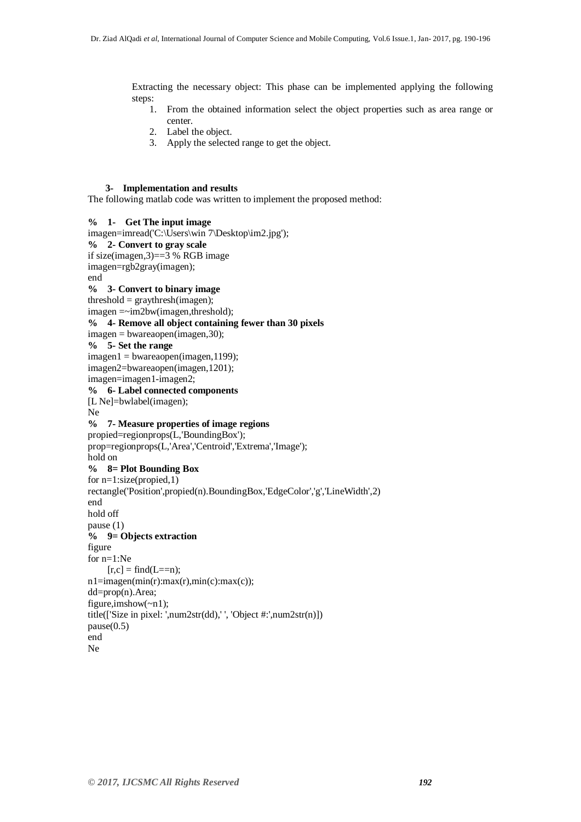Extracting the necessary object: This phase can be implemented applying the following steps:

- 1. From the obtained information select the object properties such as area range or center.
- 2. Label the object.
- 3. Apply the selected range to get the object.

#### **3- Implementation and results**

The following matlab code was written to implement the proposed method:

```
% 1- Get The input image
imagen=imread('C:\Users\win 7\Desktop\im2.jpg');
% 2- Convert to gray scale
if size(imagen,3)==3 % RGB image
imagen=rgb2gray(imagen);
end
% 3- Convert to binary image
threshold = graythresh(imagen);
imagen =~im2bw(imagen,threshold);
% 4- Remove all object containing fewer than 30 pixels
imagen = bwareaopen(imagen,30);
% 5- Set the range
imagen1 = bwareaopen(imagen,1199);
imagen2=bwareaopen(imagen,1201);
imagen=imagen1-imagen2;
% 6- Label connected components
[L Ne]=bwlabel(imagen);
Ne
% 7- Measure properties of image regions
propied=regionprops(L,'BoundingBox');
prop=regionprops(L,'Area','Centroid','Extrema','Image');
hold on
% 8= Plot Bounding Box
for n=1:size(propied,1)
rectangle('Position',propied(n).BoundingBox,'EdgeColor','g','LineWidth',2)
end
hold off
pause (1)
% 9= Objects extraction
figure
for n=1:Ne
    [r,c] = \text{find}(L == n);n1=imagen(min(r):max(r),min(c):max(c));dd=prop(n).Area;
figure,imshow(~n1);
title(['Size in pixel: ',num2str(dd),' ', 'Object #:',num2str(n)])
pause(0.5)end
Ne
```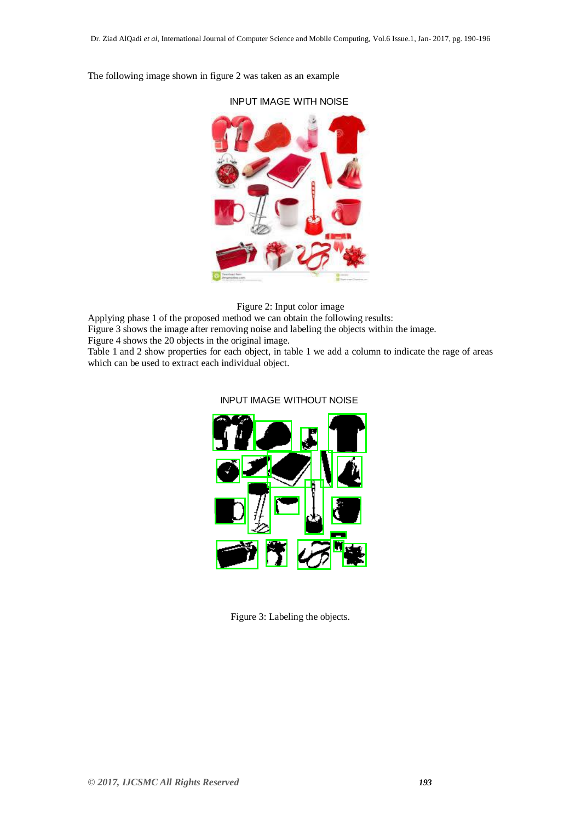INPUT IMAGE WITH NOISE

The following image shown in figure 2 was taken as an example

Figure 2: Input color image

Applying phase 1 of the proposed method we can obtain the following results:

Figure 3 shows the image after removing noise and labeling the objects within the image.

Figure 4 shows the 20 objects in the original image.

Table 1 and 2 show properties for each object, in table 1 we add a column to indicate the rage of areas which can be used to extract each individual object.



## INPUT IMAGE WITHOUT NOISE

Figure 3: Labeling the objects.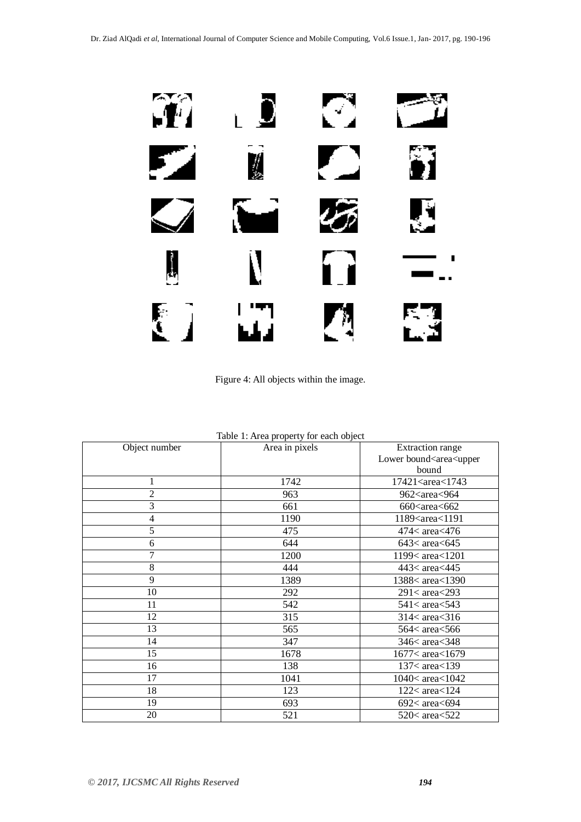

Figure 4: All objects within the image.

| Table 1: Area property for each object |                |                                               |
|----------------------------------------|----------------|-----------------------------------------------|
| Object number                          | Area in pixels | Extraction range                              |
|                                        |                | Lower bound <area<upper< td=""></area<upper<> |
|                                        |                | bound                                         |
| 1                                      | 1742           | 17421 <area<1743< td=""></area<1743<>         |
| $\overline{2}$                         | 963            | 962 <area<964< td=""></area<964<>             |
| 3                                      | 661            | $660$ < area < $662$                          |
| 4                                      | 1190           | 1189 <area<1191< td=""></area<1191<>          |
| 5                                      | 475            | $474<\text{area}$ $476$                       |
| 6                                      | 644            | $643<\alpha$ area $<\epsilon$ 645             |
| 7                                      | 1200           | 1199< area<1201                               |
| $8\,$                                  | 444            | 443< area<445                                 |
| 9                                      | 1389           | 1388< area<1390                               |
| 10                                     | 292            | $291 < \text{area} < 293$                     |
| 11                                     | 542            | $541 < \text{area} < 543$                     |
| 12                                     | 315            | $314 < \text{area} < 316$                     |
| 13                                     | 565            | 564< area<566                                 |
| 14                                     | 347            | $346<\alpha$ area $<$ 348                     |
| 15                                     | 1678           | 1677< area<1679                               |
| 16                                     | 138            | 137< area<139                                 |
| 17                                     | 1041           | 1040<br>c area<1042                           |
| 18                                     | 123            | $122<$ area $<$ 124                           |
| 19                                     | 693            | $692<$ area $<$ 694                           |
| 20                                     | 521            | $520<$ area $<$ 522                           |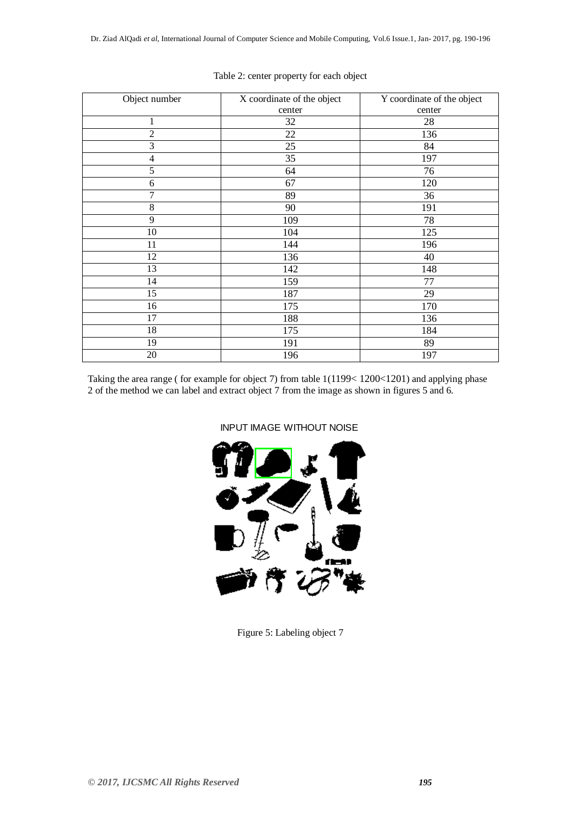| Object number  | X coordinate of the object | Y coordinate of the object |
|----------------|----------------------------|----------------------------|
|                | center                     | center                     |
| 1              | 32                         | 28                         |
| $\overline{2}$ | 22                         | 136                        |
| $\mathfrak{Z}$ | 25                         | 84                         |
| 4              | 35                         | 197                        |
| 5              | 64                         | 76                         |
| 6              | 67                         | 120                        |
| 7              | 89                         | 36                         |
| $8\,$          | 90                         | 191                        |
| 9              | 109                        | 78                         |
| 10             | 104                        | 125                        |
| 11             | 144                        | 196                        |
| 12             | 136                        | 40                         |
| 13             | 142                        | 148                        |
| 14             | 159                        | 77                         |
| 15             | 187                        | 29                         |
| 16             | 175                        | 170                        |
| 17             | 188                        | 136                        |
| 18             | 175                        | 184                        |
| 19             | 191                        | 89                         |
| 20             | 196                        | 197                        |

## Table 2: center property for each object

Taking the area range ( for example for object 7) from table 1(1199< 1200<1201) and applying phase 2 of the method we can label and extract object 7 from the image as shown in figures 5 and 6.

INPUT IMAGE WITHOUT NOISE



Figure 5: Labeling object 7